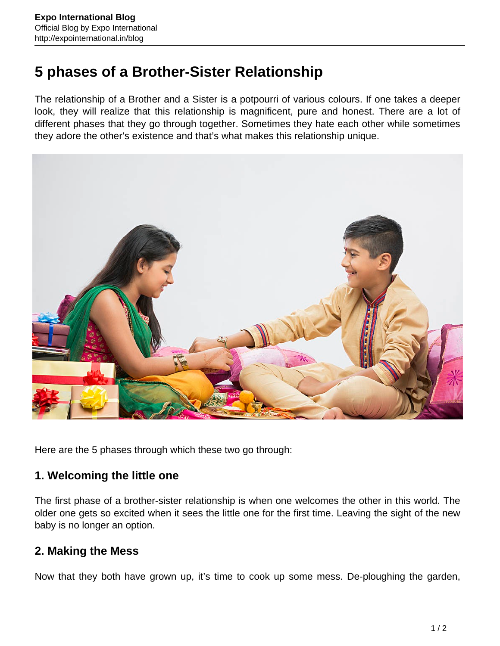# **5 phases of a Brother-Sister Relationship**

The relationship of a Brother and a Sister is a potpourri of various colours. If one takes a deeper look, they will realize that this relationship is magnificent, pure and honest. There are a lot of different phases that they go through together. Sometimes they hate each other while sometimes they adore the other's existence and that's what makes this relationship unique.



Here are the 5 phases through which these two go through:

### **1. Welcoming the little one**

The first phase of a brother-sister relationship is when one welcomes the other in this world. The older one gets so excited when it sees the little one for the first time. Leaving the sight of the new baby is no longer an option.

### **2. Making the Mess**

Now that they both have grown up, it's time to cook up some mess. De-ploughing the garden,